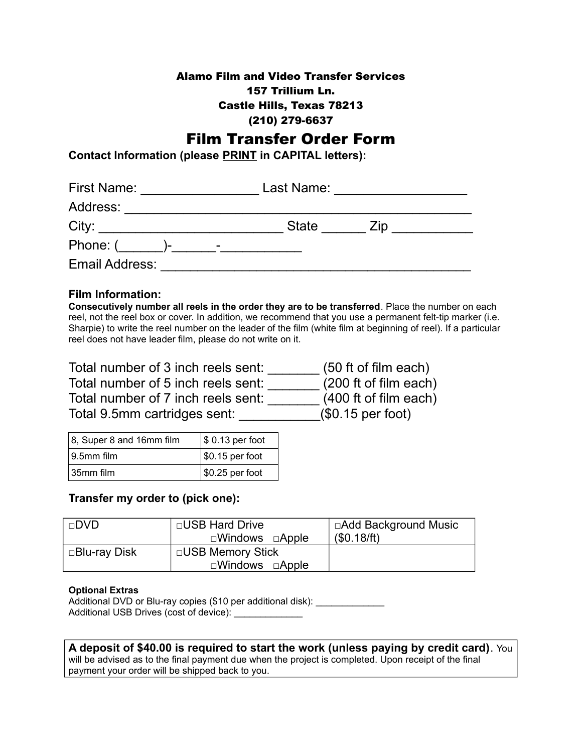### Alamo Film and Video Transfer Services 157 Trillium Ln. Castle Hills, Texas 78213 (210) 279-6637

# Film Transfer Order Form

**Contact Information (please PRINT in CAPITAL letters):**

| <b>First Name:</b> |              |                | Last Name:   |             |  |
|--------------------|--------------|----------------|--------------|-------------|--|
| Address:           |              |                |              |             |  |
| City:              |              |                | <b>State</b> | $\angle$ ID |  |
| Phone: (           | $\mathbf{r}$ | $\blacksquare$ |              |             |  |
| Email Address:     |              |                |              |             |  |

### **Film Information:**

**Consecutively number all reels in the order they are to be transferred**. Place the number on each reel, not the reel box or cover. In addition, we recommend that you use a permanent felt-tip marker (i.e. Sharpie) to write the reel number on the leader of the film (white film at beginning of reel). If a particular reel does not have leader film, please do not write on it.

| Total number of 3 inch reels sent: | (50 ft of film each)  |
|------------------------------------|-----------------------|
| Total number of 5 inch reels sent: | (200 ft of film each) |
| Total number of 7 inch reels sent: | (400 ft of film each) |
| Total 9.5mm cartridges sent:       | $(\$0.15$ per foot)   |

| $ 8$ , Super 8 and 16mm film | \$ 0.13 per foot   |  |
|------------------------------|--------------------|--|
| $ 9.5$ mm film               | $  $0.15$ per foot |  |
| $\vert$ 35mm film            | $  $0.25$ per foot |  |

### **Transfer my order to (pick one):**

| $\Box$ DVD    | □USB Hard Drive<br>$\square$ Windows $\square$ Apple   | □Add Background Music<br>(\$0.18/ft) |
|---------------|--------------------------------------------------------|--------------------------------------|
| □Blu-ray Disk | □USB Memory Stick<br>$\square$ Windows $\square$ Apple |                                      |

#### **Optional Extras**

Additional DVD or Blu-ray copies (\$10 per additional disk): \_\_\_\_\_\_\_\_\_\_\_\_\_\_\_\_\_\_\_\_ Additional USB Drives (cost of device):

## **A deposit of \$40.00 is required to start the work (unless paying by credit card)**. You

will be advised as to the final payment due when the project is completed. Upon receipt of the final payment your order will be shipped back to you.